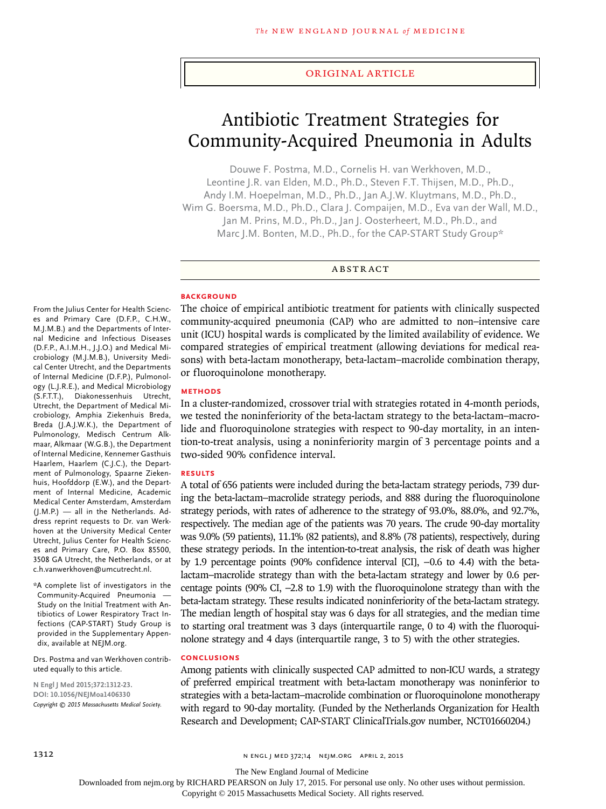#### Original Article

# Antibiotic Treatment Strategies for Community-Acquired Pneumonia in Adults

Douwe F. Postma, M.D., Cornelis H. van Werkhoven, M.D., Leontine J.R. van Elden, M.D., Ph.D., Steven F.T. Thijsen, M.D., Ph.D., Andy I.M. Hoepelman, M.D., Ph.D., Jan A.J.W. Kluytmans, M.D., Ph.D., Wim G. Boersma, M.D., Ph.D., Clara J. Compaijen, M.D., Eva van der Wall, M.D., Jan M. Prins, M.D., Ph.D., Jan J. Oosterheert, M.D., Ph.D., and Marc J.M. Bonten, M.D., Ph.D., for the CAP-START Study Group\*

## ABSTRACT

#### **BACKGROUND**

The choice of empirical antibiotic treatment for patients with clinically suspected community-acquired pneumonia (CAP) who are admitted to non–intensive care unit (ICU) hospital wards is complicated by the limited availability of evidence. We compared strategies of empirical treatment (allowing deviations for medical reasons) with beta-lactam monotherapy, beta-lactam–macrolide combination therapy, or fluoroquinolone monotherapy.

## **METHODS**

In a cluster-randomized, crossover trial with strategies rotated in 4-month periods, we tested the noninferiority of the beta-lactam strategy to the beta-lactam–macrolide and fluoroquinolone strategies with respect to 90-day mortality, in an intention-to-treat analysis, using a noninferiority margin of 3 percentage points and a two-sided 90% confidence interval.

## **RESULTS**

A total of 656 patients were included during the beta-lactam strategy periods, 739 during the beta-lactam–macrolide strategy periods, and 888 during the fluoroquinolone strategy periods, with rates of adherence to the strategy of 93.0%, 88.0%, and 92.7%, respectively. The median age of the patients was 70 years. The crude 90-day mortality was 9.0% (59 patients), 11.1% (82 patients), and 8.8% (78 patients), respectively, during these strategy periods. In the intention-to-treat analysis, the risk of death was higher by 1.9 percentage points (90% confidence interval [CI], −0.6 to 4.4) with the betalactam–macrolide strategy than with the beta-lactam strategy and lower by 0.6 percentage points (90% CI, −2.8 to 1.9) with the fluoroquinolone strategy than with the beta-lactam strategy. These results indicated noninferiority of the beta-lactam strategy. The median length of hospital stay was 6 days for all strategies, and the median time to starting oral treatment was 3 days (interquartile range, 0 to 4) with the fluoroquinolone strategy and 4 days (interquartile range, 3 to 5) with the other strategies.

**CONCLUSIONS**

Among patients with clinically suspected CAP admitted to non-ICU wards, a strategy of preferred empirical treatment with beta-lactam monotherapy was noninferior to strategies with a beta-lactam–macrolide combination or fluoroquinolone monotherapy with regard to 90-day mortality. (Funded by the Netherlands Organization for Health Research and Development; CAP-START ClinicalTrials.gov number, NCT01660204.)

From the Julius Center for Health Sciences and Primary Care (D.F.P., C.H.W., M.J.M.B.) and the Departments of Internal Medicine and Infectious Diseases (D.F.P., A.I.M.H., J.J.O.) and Medical Microbiology (M.J.M.B.), University Medical Center Utrecht, and the Departments of Internal Medicine (D.F.P.), Pulmonology (L.J.R.E.), and Medical Microbiology (S.F.T.T.), Diakonessenhuis Utrecht, Utrecht, the Department of Medical Microbiology, Amphia Ziekenhuis Breda, Breda (J.A.J.W.K.), the Department of Pulmonology, Medisch Centrum Alkmaar, Alkmaar (W.G.B.), the Department of Internal Medicine, Kennemer Gasthuis Haarlem, Haarlem (C.J.C.), the Department of Pulmonology, Spaarne Ziekenhuis, Hoofddorp (E.W.), and the Department of Internal Medicine, Academic Medical Center Amsterdam, Amsterdam (J.M.P.) — all in the Netherlands. Address reprint requests to Dr. van Werkhoven at the University Medical Center Utrecht, Julius Center for Health Sciences and Primary Care, P.O. Box 85500, 3508 GA Utrecht, the Netherlands, or at c.h.vanwerkhoven@umcutrecht.nl.

\*A complete list of investigators in the Community-Acquired Pneumonia Study on the Initial Treatment with Antibiotics of Lower Respiratory Tract Infections (CAP-START) Study Group is provided in the Supplementary Appendix, available at NEJM.org.

Drs. Postma and van Werkhoven contributed equally to this article.

**N Engl J Med 2015;372:1312-23. DOI: 10.1056/NEJMoa1406330** *Copyright © 2015 Massachusetts Medical Society.*

The New England Journal of Medicine

Downloaded from nejm.org by RICHARD PEARSON on July 17, 2015. For personal use only. No other uses without permission.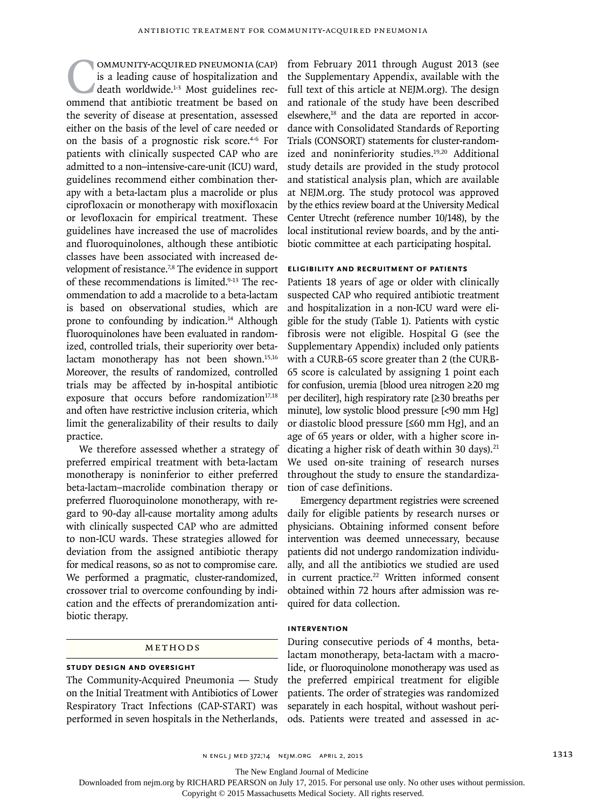**COMMUNITY-ACQUIRED PNEUMONIA (CAP)** is a leading cause of hospitalization and death worldwide.<sup>1-3</sup> Most guidelines recommend that antibiotic treatment be based on is a leading cause of hospitalization and death worldwide.<sup>1-3</sup> Most guidelines recthe severity of disease at presentation, assessed either on the basis of the level of care needed or on the basis of a prognostic risk score.4-6 For patients with clinically suspected CAP who are admitted to a non–intensive-care-unit (ICU) ward, guidelines recommend either combination therapy with a beta-lactam plus a macrolide or plus ciprofloxacin or monotherapy with moxifloxacin or levofloxacin for empirical treatment. These guidelines have increased the use of macrolides and fluoroquinolones, although these antibiotic classes have been associated with increased development of resistance.<sup>7,8</sup> The evidence in support of these recommendations is limited.<sup>9-13</sup> The recommendation to add a macrolide to a beta-lactam is based on observational studies, which are prone to confounding by indication.<sup>14</sup> Although fluoroquinolones have been evaluated in randomized, controlled trials, their superiority over betalactam monotherapy has not been shown.<sup>15,16</sup> Moreover, the results of randomized, controlled trials may be affected by in-hospital antibiotic exposure that occurs before randomization $17,18$ and often have restrictive inclusion criteria, which limit the generalizability of their results to daily practice.

We therefore assessed whether a strategy of preferred empirical treatment with beta-lactam monotherapy is noninferior to either preferred beta-lactam–macrolide combination therapy or preferred fluoroquinolone monotherapy, with regard to 90-day all-cause mortality among adults with clinically suspected CAP who are admitted to non-ICU wards. These strategies allowed for deviation from the assigned antibiotic therapy for medical reasons, so as not to compromise care. We performed a pragmatic, cluster-randomized, crossover trial to overcome confounding by indication and the effects of prerandomization antibiotic therapy.

#### Methods

#### **Study Design and Oversight**

The Community-Acquired Pneumonia — Study on the Initial Treatment with Antibiotics of Lower Respiratory Tract Infections (CAP-START) was performed in seven hospitals in the Netherlands,

from February 2011 through August 2013 (see the Supplementary Appendix, available with the full text of this article at NEJM.org). The design and rationale of the study have been described elsewhere,18 and the data are reported in accordance with Consolidated Standards of Reporting Trials (CONSORT) statements for cluster-randomized and noninferiority studies.<sup>19,20</sup> Additional study details are provided in the study protocol and statistical analysis plan, which are available at NEJM.org. The study protocol was approved by the ethics review board at the University Medical Center Utrecht (reference number 10/148), by the local institutional review boards, and by the antibiotic committee at each participating hospital.

## **Eligibility and Recruitment of Patients**

Patients 18 years of age or older with clinically suspected CAP who required antibiotic treatment and hospitalization in a non-ICU ward were eligible for the study (Table 1). Patients with cystic fibrosis were not eligible. Hospital G (see the Supplementary Appendix) included only patients with a CURB-65 score greater than 2 (the CURB-65 score is calculated by assigning 1 point each for confusion, uremia [blood urea nitrogen ≥20 mg per deciliter], high respiratory rate [≥30 breaths per minute], low systolic blood pressure [<90 mm Hg] or diastolic blood pressure [≤60 mm Hg], and an age of 65 years or older, with a higher score indicating a higher risk of death within 30 days). $^{21}$ We used on-site training of research nurses throughout the study to ensure the standardization of case definitions.

Emergency department registries were screened daily for eligible patients by research nurses or physicians. Obtaining informed consent before intervention was deemed unnecessary, because patients did not undergo randomization individually, and all the antibiotics we studied are used in current practice.<sup>22</sup> Written informed consent obtained within 72 hours after admission was required for data collection.

#### **Intervention**

During consecutive periods of 4 months, betalactam monotherapy, beta-lactam with a macrolide, or fluoroquinolone monotherapy was used as the preferred empirical treatment for eligible patients. The order of strategies was randomized separately in each hospital, without washout periods. Patients were treated and assessed in ac-

The New England Journal of Medicine

Downloaded from nejm.org by RICHARD PEARSON on July 17, 2015. For personal use only. No other uses without permission.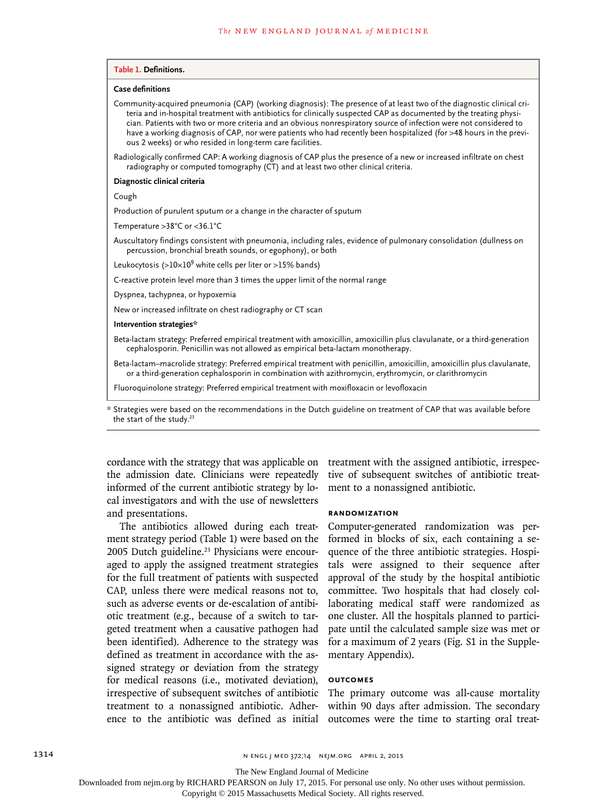#### **Table 1. Definitions.**

## **Case definitions**

Community-acquired pneumonia (CAP) (working diagnosis): The presence of at least two of the diagnostic clinical criteria and in-hospital treatment with antibiotics for clinically suspected CAP as documented by the treating physician. Patients with two or more criteria and an obvious nonrespiratory source of infection were not considered to have a working diagnosis of CAP, nor were patients who had recently been hospitalized (for >48 hours in the previous 2 weeks) or who resided in long-term care facilities.

Radiologically confirmed CAP: A working diagnosis of CAP plus the presence of a new or increased infiltrate on chest radiography or computed tomography (CT) and at least two other clinical criteria.

#### **Diagnostic clinical criteria**

Cough

Production of purulent sputum or a change in the character of sputum

Temperature >38°C or <36.1°C

Auscultatory findings consistent with pneumonia, including rales, evidence of pulmonary consolidation (dullness on percussion, bronchial breath sounds, or egophony), or both

Leukocytosis (> $10\times10^9$  white cells per liter or > $15\%$  bands)

C-reactive protein level more than 3 times the upper limit of the normal range

Dyspnea, tachypnea, or hypoxemia

New or increased infiltrate on chest radiography or CT scan

#### **Intervention strategies\***

Beta-lactam strategy: Preferred empirical treatment with amoxicillin, amoxicillin plus clavulanate, or a third-generation cephalosporin. Penicillin was not allowed as empirical beta-lactam monotherapy.

Beta-lactam–macrolide strategy: Preferred empirical treatment with penicillin, amoxicillin, amoxicillin plus clavulanate, or a third-generation cephalosporin in combination with azithromycin, erythromycin, or clarithromycin

Fluoroquinolone strategy: Preferred empirical treatment with moxifloxacin or levofloxacin

Strategies were based on the recommendations in the Dutch guideline on treatment of CAP that was available before the start of the study.<sup>23</sup>

cordance with the strategy that was applicable on the admission date. Clinicians were repeatedly informed of the current antibiotic strategy by local investigators and with the use of newsletters and presentations.

The antibiotics allowed during each treatment strategy period (Table 1) were based on the 2005 Dutch guideline.<sup>23</sup> Physicians were encouraged to apply the assigned treatment strategies for the full treatment of patients with suspected CAP, unless there were medical reasons not to, such as adverse events or de-escalation of antibiotic treatment (e.g., because of a switch to targeted treatment when a causative pathogen had been identified). Adherence to the strategy was defined as treatment in accordance with the assigned strategy or deviation from the strategy for medical reasons (i.e., motivated deviation), irrespective of subsequent switches of antibiotic treatment to a nonassigned antibiotic. Adherence to the antibiotic was defined as initial

treatment with the assigned antibiotic, irrespective of subsequent switches of antibiotic treatment to a nonassigned antibiotic.

## **Randomization**

Computer-generated randomization was performed in blocks of six, each containing a sequence of the three antibiotic strategies. Hospitals were assigned to their sequence after approval of the study by the hospital antibiotic committee. Two hospitals that had closely collaborating medical staff were randomized as one cluster. All the hospitals planned to participate until the calculated sample size was met or for a maximum of 2 years (Fig. S1 in the Supplementary Appendix).

## **Outcomes**

The primary outcome was all-cause mortality within 90 days after admission. The secondary outcomes were the time to starting oral treat-

The New England Journal of Medicine

Downloaded from nejm.org by RICHARD PEARSON on July 17, 2015. For personal use only. No other uses without permission.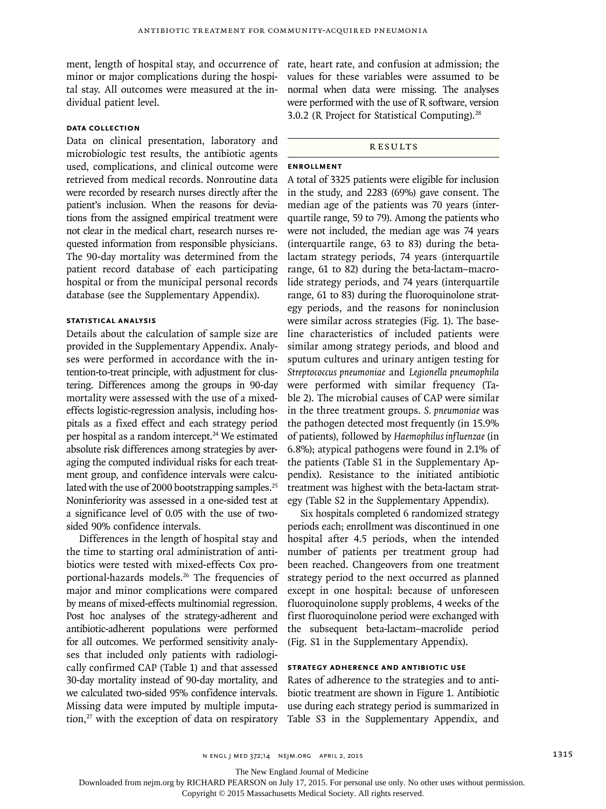ment, length of hospital stay, and occurrence of minor or major complications during the hospital stay. All outcomes were measured at the individual patient level.

# **Data Collection**

Data on clinical presentation, laboratory and microbiologic test results, the antibiotic agents used, complications, and clinical outcome were retrieved from medical records. Nonroutine data were recorded by research nurses directly after the patient's inclusion. When the reasons for deviations from the assigned empirical treatment were not clear in the medical chart, research nurses requested information from responsible physicians. The 90-day mortality was determined from the patient record database of each participating hospital or from the municipal personal records database (see the Supplementary Appendix).

# **Statistical Analysis**

Details about the calculation of sample size are provided in the Supplementary Appendix. Analyses were performed in accordance with the intention-to-treat principle, with adjustment for clustering. Differences among the groups in 90-day mortality were assessed with the use of a mixedeffects logistic-regression analysis, including hospitals as a fixed effect and each strategy period per hospital as a random intercept.<sup>24</sup> We estimated absolute risk differences among strategies by averaging the computed individual risks for each treatment group, and confidence intervals were calculated with the use of 2000 bootstrapping samples.<sup>25</sup> Noninferiority was assessed in a one-sided test at a significance level of 0.05 with the use of twosided 90% confidence intervals.

Differences in the length of hospital stay and the time to starting oral administration of antibiotics were tested with mixed-effects Cox proportional-hazards models.<sup>26</sup> The frequencies of major and minor complications were compared by means of mixed-effects multinomial regression. Post hoc analyses of the strategy-adherent and antibiotic-adherent populations were performed for all outcomes. We performed sensitivity analyses that included only patients with radiologically confirmed CAP (Table 1) and that assessed 30-day mortality instead of 90-day mortality, and we calculated two-sided 95% confidence intervals. Missing data were imputed by multiple imputation, $27$  with the exception of data on respiratory

rate, heart rate, and confusion at admission; the values for these variables were assumed to be normal when data were missing. The analyses were performed with the use of R software, version 3.0.2 (R Project for Statistical Computing).28

### **RESULTS**

# **Enrollment**

A total of 3325 patients were eligible for inclusion in the study, and 2283 (69%) gave consent. The median age of the patients was 70 years (interquartile range, 59 to 79). Among the patients who were not included, the median age was 74 years (interquartile range, 63 to 83) during the betalactam strategy periods, 74 years (interquartile range, 61 to 82) during the beta-lactam–macrolide strategy periods, and 74 years (interquartile range, 61 to 83) during the fluoroquinolone strategy periods, and the reasons for noninclusion were similar across strategies (Fig. 1). The baseline characteristics of included patients were similar among strategy periods, and blood and sputum cultures and urinary antigen testing for *Streptococcus pneumoniae* and *Legionella pneumophila* were performed with similar frequency (Table 2). The microbial causes of CAP were similar in the three treatment groups. *S. pneumoniae* was the pathogen detected most frequently (in 15.9% of patients), followed by *Haemophilus influenzae* (in 6.8%); atypical pathogens were found in 2.1% of the patients (Table S1 in the Supplementary Appendix). Resistance to the initiated antibiotic treatment was highest with the beta-lactam strategy (Table S2 in the Supplementary Appendix).

Six hospitals completed 6 randomized strategy periods each; enrollment was discontinued in one hospital after 4.5 periods, when the intended number of patients per treatment group had been reached. Changeovers from one treatment strategy period to the next occurred as planned except in one hospital: because of unforeseen fluoroquinolone supply problems, 4 weeks of the first fluoroquinolone period were exchanged with the subsequent beta-lactam–macrolide period (Fig. S1 in the Supplementary Appendix).

# **Strategy Adherence and Antibiotic Use**

Rates of adherence to the strategies and to antibiotic treatment are shown in Figure 1. Antibiotic use during each strategy period is summarized in Table S3 in the Supplementary Appendix, and

The New England Journal of Medicine

Downloaded from nejm.org by RICHARD PEARSON on July 17, 2015. For personal use only. No other uses without permission.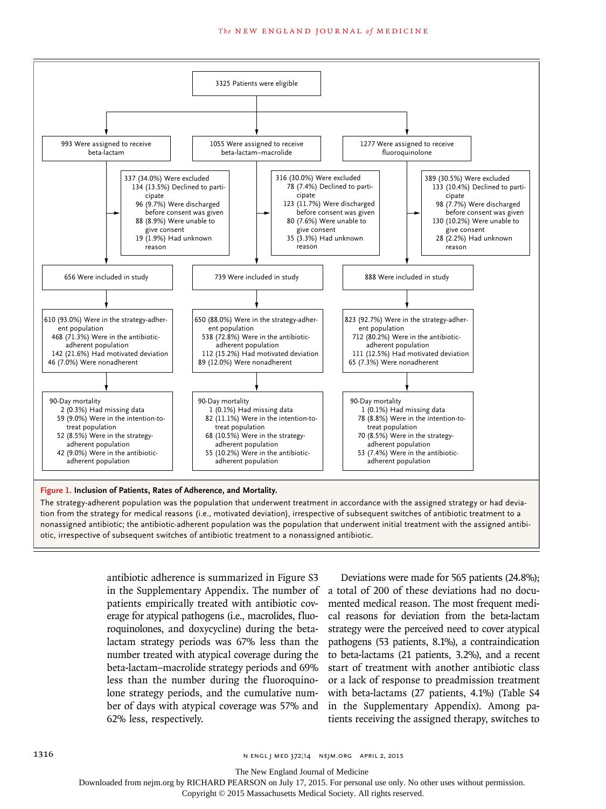

**Figure 1. Inclusion of Patients, Rates of Adherence, and Mortality.**

The strategy-adherent population was the population that underwent treatment in accordance with the assigned strategy or had deviation from the strategy for medical reasons (i.e., motivated deviation), irrespective of subsequent switches of antibiotic treatment to a nonassigned antibiotic; the antibiotic-adherent population was the population that underwent initial treatment with the assigned antibiotic, irrespective of subsequent switches of antibiotic treatment to a nonassigned antibiotic.

> antibiotic adherence is summarized in Figure S3 in the Supplementary Appendix. The number of a total of 200 of these deviations had no docupatients empirically treated with antibiotic coverage for atypical pathogens (i.e., macrolides, fluoroquinolones, and doxycycline) during the betalactam strategy periods was 67% less than the number treated with atypical coverage during the beta-lactam–macrolide strategy periods and 69% less than the number during the fluoroquinolone strategy periods, and the cumulative number of days with atypical coverage was 57% and 62% less, respectively.

Deviations were made for 565 patients (24.8%); mented medical reason. The most frequent medical reasons for deviation from the beta-lactam strategy were the perceived need to cover atypical pathogens (53 patients, 8.1%), a contraindication to beta-lactams (21 patients, 3.2%), and a recent start of treatment with another antibiotic class or a lack of response to preadmission treatment with beta-lactams (27 patients, 4.1%) (Table S4 in the Supplementary Appendix). Among patients receiving the assigned therapy, switches to

The New England Journal of Medicine

Downloaded from nejm.org by RICHARD PEARSON on July 17, 2015. For personal use only. No other uses without permission.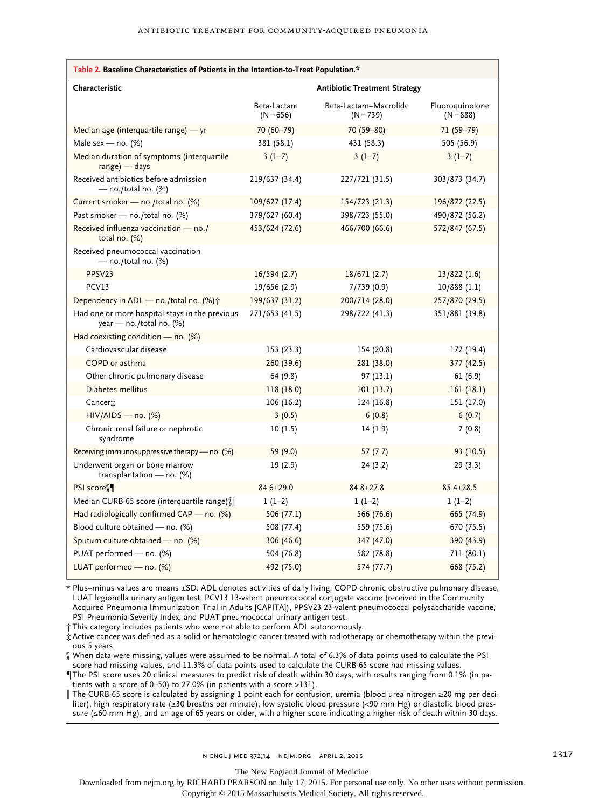| Table 2. Baseline Characteristics of Patients in the Intention-to-Treat Population.* |                                      |                                      |                                |  |
|--------------------------------------------------------------------------------------|--------------------------------------|--------------------------------------|--------------------------------|--|
| Characteristic                                                                       | <b>Antibiotic Treatment Strategy</b> |                                      |                                |  |
|                                                                                      | Beta-Lactam<br>$(N = 656)$           | Beta-Lactam-Macrolide<br>$(N = 739)$ | Fluoroquinolone<br>$(N = 888)$ |  |
| Median age (interquartile range) - yr                                                | 70 (60-79)                           | 70 (59-80)                           | 71 (59-79)                     |  |
| Male sex — no. $(%)$                                                                 | 381 (58.1)                           | 431 (58.3)                           | 505 (56.9)                     |  |
| Median duration of symptoms (interquartile<br>range) — days                          | $3(1-7)$                             | $3(1-7)$                             | $3(1-7)$                       |  |
| Received antibiotics before admission<br>$-$ no./total no. (%)                       | 219/637 (34.4)                       | 227/721 (31.5)                       | 303/873 (34.7)                 |  |
| Current smoker - no./total no. (%)                                                   | 109/627 (17.4)                       | 154/723 (21.3)                       | 196/872 (22.5)                 |  |
| Past smoker - no./total no. (%)                                                      | 379/627 (60.4)                       | 398/723 (55.0)                       | 490/872 (56.2)                 |  |
| Received influenza vaccination - no./<br>total no. $(%)$                             | 453/624 (72.6)                       | 466/700 (66.6)                       | 572/847 (67.5)                 |  |
| Received pneumococcal vaccination<br>$-$ no./total no. (%)                           |                                      |                                      |                                |  |
| PPSV23                                                                               | 16/594(2.7)                          | 18/671(2.7)                          | 13/822(1.6)                    |  |
| PCV13                                                                                | 19/656 (2.9)                         | 7/739 (0.9)                          | 10/888(1.1)                    |  |
| Dependency in ADL - no./total no. (%) <sup>+</sup>                                   | 199/637 (31.2)                       | 200/714 (28.0)                       | 257/870 (29.5)                 |  |
| Had one or more hospital stays in the previous<br>year — no./total no. (%)           | 271/653 (41.5)                       | 298/722 (41.3)                       | 351/881 (39.8)                 |  |
| Had coexisting condition $-$ no. (%)                                                 |                                      |                                      |                                |  |
| Cardiovascular disease                                                               | 153(23.3)                            | 154 (20.8)                           | 172 (19.4)                     |  |
| COPD or asthma                                                                       | 260 (39.6)                           | 281 (38.0)                           | 377 (42.5)                     |  |
| Other chronic pulmonary disease                                                      | 64 (9.8)                             | 97(13.1)                             | 61(6.9)                        |  |
| Diabetes mellitus                                                                    | 118 (18.0)                           | 101(13.7)                            | 161(18.1)                      |  |
| Cancert                                                                              | 106(16.2)                            | 124 (16.8)                           | 151 (17.0)                     |  |
| $HIV/AIDS$ - no. (%)                                                                 | 3(0.5)                               | 6(0.8)                               | 6(0.7)                         |  |
| Chronic renal failure or nephrotic<br>syndrome                                       | 10(1.5)                              | 14(1.9)                              | 7(0.8)                         |  |
| Receiving immunosuppressive therapy – no. (%)                                        | 59 (9.0)                             | 57(7.7)                              | 93 (10.5)                      |  |
| Underwent organ or bone marrow<br>transplantation - no. (%)                          | 19(2.9)                              | 24(3.2)                              | 29(3.3)                        |  |
| PSI score <sup>[9]</sup>                                                             | $84.6 \pm 29.0$                      | $84.8 \pm 27.8$                      | $85.4 \pm 28.5$                |  |
| Median CURB-65 score (interquartile range)                                           | $1(1-2)$                             | $1(1-2)$                             | $1(1-2)$                       |  |
| Had radiologically confirmed CAP - no. (%)                                           | 506(77.1)                            | 566 (76.6)                           | 665 (74.9)                     |  |
| Blood culture obtained - no. (%)                                                     | 508 (77.4)                           | 559 (75.6)                           | 670 (75.5)                     |  |
| Sputum culture obtained - no. (%)                                                    | 306 (46.6)                           | 347 (47.0)                           | 390 (43.9)                     |  |
| PUAT performed - no. (%)                                                             | 504 (76.8)                           | 582 (78.8)                           | 711 (80.1)                     |  |
| LUAT performed - no. (%)                                                             | 492 (75.0)                           | 574 (77.7)                           | 668 (75.2)                     |  |

\* Plus–minus values are means ±SD. ADL denotes activities of daily living, COPD chronic obstructive pulmonary disease, LUAT legionella urinary antigen test, PCV13 13-valent pneumococcal conjugate vaccine (received in the Community Acquired Pneumonia Immunization Trial in Adults [CAPITA]), PPSV23 23-valent pneumococcal polysaccharide vaccine, PSI Pneumonia Severity Index, and PUAT pneumococcal urinary antigen test.

† This category includes patients who were not able to perform ADL autonomously.

‡ Active cancer was defined as a solid or hematologic cancer treated with radiotherapy or chemotherapy within the previous 5 years.

§ When data were missing, values were assumed to be normal. A total of 6.3% of data points used to calculate the PSI score had missing values, and 11.3% of data points used to calculate the CURB-65 score had missing values.

¶ The PSI score uses 20 clinical measures to predict risk of death within 30 days, with results ranging from 0.1% (in patients with a score of 0–50) to 27.0% (in patients with a score >131).

‖ The CURB-65 score is calculated by assigning 1 point each for confusion, uremia (blood urea nitrogen ≥20 mg per deciliter), high respiratory rate (≥30 breaths per minute), low systolic blood pressure (<90 mm Hg) or diastolic blood pressure (≤60 mm Hg), and an age of 65 years or older, with a higher score indicating a higher risk of death within 30 days.

The New England Journal of Medicine

Downloaded from nejm.org by RICHARD PEARSON on July 17, 2015. For personal use only. No other uses without permission.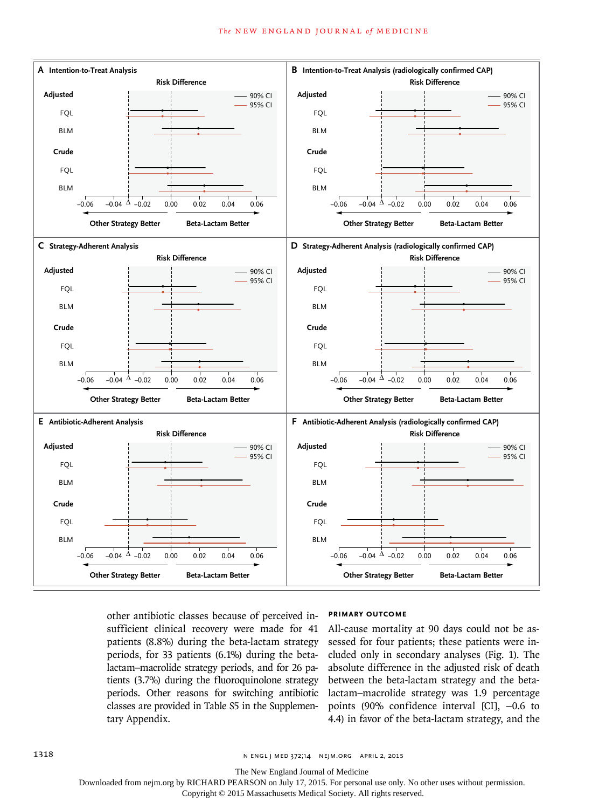



other antibiotic classes because of perceived insufficient clinical recovery were made for 41 patients (8.8%) during the beta-lactam strategy periods, for 33 patients (6.1%) during the betalactam–macrolide strategy periods, and for 26 patients (3.7%) during the fluoroquinolone strategy periods. Other reasons for switching antibiotic classes are provided in Table S5 in the Supplementary Appendix.

#### **Primary Outcome**

All-cause mortality at 90 days could not be assessed for four patients; these patients were included only in secondary analyses (Fig. 1). The absolute difference in the adjusted risk of death between the beta-lactam strategy and the betalactam–macrolide strategy was 1.9 percentage points (90% confidence interval [CI], −0.6 to 4.4) in favor of the beta-lactam strategy, and the

1318 **N ENGL J MED 372;14 NEJM.ORG APRIL 2, 2015** 

The New England Journal of Medicine

Downloaded from nejm.org by RICHARD PEARSON on July 17, 2015. For personal use only. No other uses without permission.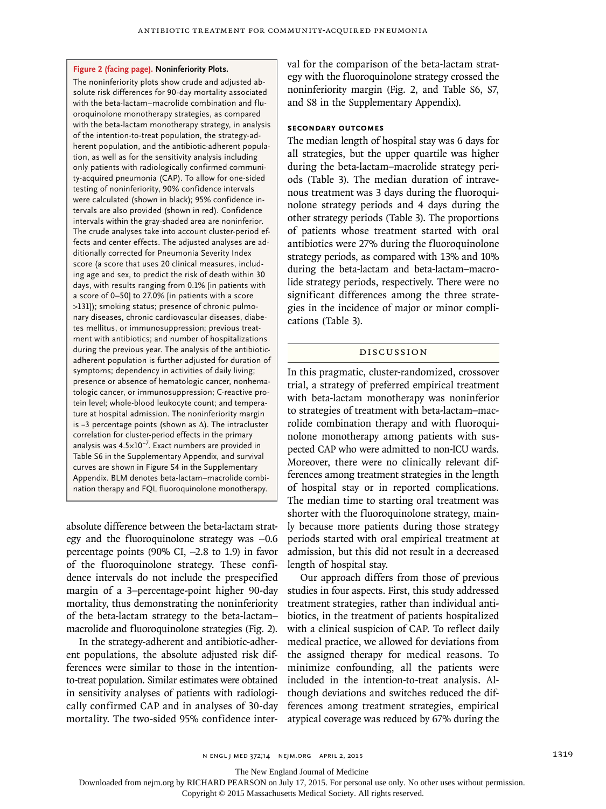#### **Figure 2 (facing page). Noninferiority Plots.**

The noninferiority plots show crude and adjusted absolute risk differences for 90-day mortality associated with the beta-lactam–macrolide combination and fluoroquinolone monotherapy strategies, as compared with the beta-lactam monotherapy strategy, in analysis of the intention-to-treat population, the strategy-adherent population, and the antibiotic-adherent population, as well as for the sensitivity analysis including only patients with radiologically confirmed community-acquired pneumonia (CAP). To allow for one-sided testing of noninferiority, 90% confidence intervals were calculated (shown in black); 95% confidence intervals are also provided (shown in red). Confidence intervals within the gray-shaded area are noninferior. The crude analyses take into account cluster-period effects and center effects. The adjusted analyses are additionally corrected for Pneumonia Severity Index score (a score that uses 20 clinical measures, including age and sex, to predict the risk of death within 30 days, with results ranging from 0.1% [in patients with a score of 0–50] to 27.0% [in patients with a score >131]); smoking status; presence of chronic pulmonary diseases, chronic cardiovascular diseases, diabetes mellitus, or immunosuppression; previous treatment with antibiotics; and number of hospitalizations during the previous year. The analysis of the antibioticadherent population is further adjusted for duration of symptoms; dependency in activities of daily living; presence or absence of hematologic cancer, nonhematologic cancer, or immunosuppression; C-reactive protein level; whole-blood leukocyte count; and temperature at hospital admission. The noninferiority margin is −3 percentage points (shown as Δ). The intracluster correlation for cluster-period effects in the primary analysis was 4.5×10−7. Exact numbers are provided in Table S6 in the Supplementary Appendix, and survival curves are shown in Figure S4 in the Supplementary Appendix. BLM denotes beta-lactam–macrolide combination therapy and FQL fluoroquinolone monotherapy.

absolute difference between the beta-lactam strategy and the fluoroquinolone strategy was −0.6 percentage points (90% CI, −2.8 to 1.9) in favor of the fluoroquinolone strategy. These confidence intervals do not include the prespecified margin of a 3–percentage-point higher 90-day mortality, thus demonstrating the noninferiority of the beta-lactam strategy to the beta-lactam– macrolide and fluoroquinolone strategies (Fig. 2).

In the strategy-adherent and antibiotic-adherent populations, the absolute adjusted risk differences were similar to those in the intentionto-treat population. Similar estimates were obtained in sensitivity analyses of patients with radiologically confirmed CAP and in analyses of 30-day mortality. The two-sided 95% confidence interval for the comparison of the beta-lactam strategy with the fluoroquinolone strategy crossed the noninferiority margin (Fig. 2, and Table S6, S7, and S8 in the Supplementary Appendix).

# **Secondary Outcomes**

The median length of hospital stay was 6 days for all strategies, but the upper quartile was higher during the beta-lactam–macrolide strategy periods (Table 3). The median duration of intravenous treatment was 3 days during the fluoroquinolone strategy periods and 4 days during the other strategy periods (Table 3). The proportions of patients whose treatment started with oral antibiotics were 27% during the fluoroquinolone strategy periods, as compared with 13% and 10% during the beta-lactam and beta-lactam–macrolide strategy periods, respectively. There were no significant differences among the three strategies in the incidence of major or minor complications (Table 3).

## Discussion

In this pragmatic, cluster-randomized, crossover trial, a strategy of preferred empirical treatment with beta-lactam monotherapy was noninferior to strategies of treatment with beta-lactam–macrolide combination therapy and with fluoroquinolone monotherapy among patients with suspected CAP who were admitted to non-ICU wards. Moreover, there were no clinically relevant differences among treatment strategies in the length of hospital stay or in reported complications. The median time to starting oral treatment was shorter with the fluoroquinolone strategy, mainly because more patients during those strategy periods started with oral empirical treatment at admission, but this did not result in a decreased length of hospital stay.

Our approach differs from those of previous studies in four aspects. First, this study addressed treatment strategies, rather than individual antibiotics, in the treatment of patients hospitalized with a clinical suspicion of CAP. To reflect daily medical practice, we allowed for deviations from the assigned therapy for medical reasons. To minimize confounding, all the patients were included in the intention-to-treat analysis. Although deviations and switches reduced the differences among treatment strategies, empirical atypical coverage was reduced by 67% during the

The New England Journal of Medicine

Downloaded from nejm.org by RICHARD PEARSON on July 17, 2015. For personal use only. No other uses without permission.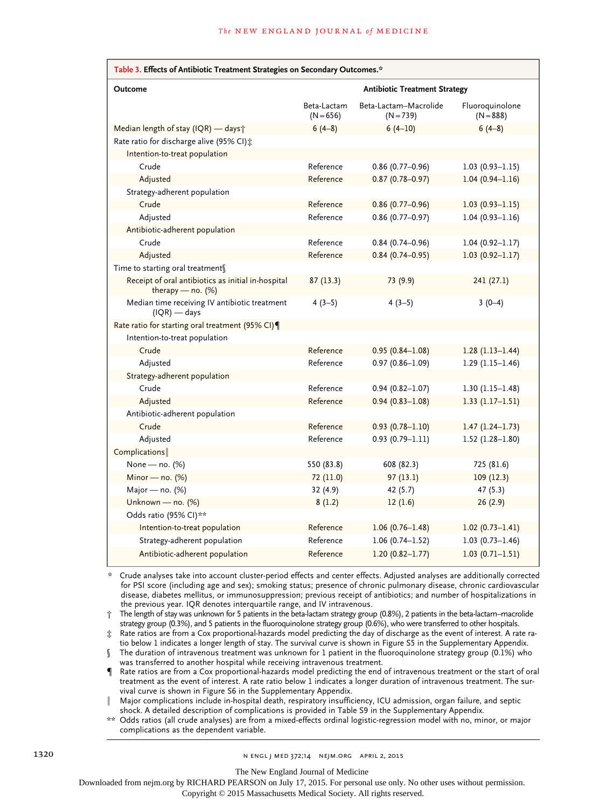| Table 3. Effects of Antibiotic Treatment Strategies on Secondary Outcomes.* |                                      |                                      |                                |  |
|-----------------------------------------------------------------------------|--------------------------------------|--------------------------------------|--------------------------------|--|
| Outcome                                                                     | <b>Antibiotic Treatment Strategy</b> |                                      |                                |  |
|                                                                             | Beta-Lactam<br>$(N = 656)$           | Beta-Lactam-Macrolide<br>$(N = 739)$ | Fluoroguinolone<br>$(N = 888)$ |  |
| Median length of stay (IQR) - days +                                        | $6(4-8)$                             | $6(4-10)$                            | $6(4-8)$                       |  |
| Rate ratio for discharge alive (95% CI) :                                   |                                      |                                      |                                |  |
| Intention-to-treat population                                               |                                      |                                      |                                |  |
| Crude                                                                       | Reference                            | $0.86$ (0.77-0.96)                   | $1.03(0.93 - 1.15)$            |  |
| Adjusted                                                                    | Reference                            | $0.87(0.78 - 0.97)$                  | $1.04(0.94 - 1.16)$            |  |
| Strategy-adherent population                                                |                                      |                                      |                                |  |
| Crude                                                                       | Reference                            | $0.86(0.77-0.96)$                    | $1.03(0.93 - 1.15)$            |  |
| Adjusted                                                                    | Reference                            | $0.86$ (0.77-0.97)                   | $1.04(0.93 - 1.16)$            |  |
| Antibiotic-adherent population                                              |                                      |                                      |                                |  |
| Crude                                                                       | Reference                            | $0.84(0.74 - 0.96)$                  | $1.04(0.92 - 1.17)$            |  |
| Adjusted                                                                    | Reference                            | $0.84(0.74 - 0.95)$                  | $1.03(0.92 - 1.17)$            |  |
| Time to starting oral treatment                                             |                                      |                                      |                                |  |
| Receipt of oral antibiotics as initial in-hospital<br>therapy — no. $(\%)$  | 87(13.3)                             | 73 (9.9)                             | 241(27.1)                      |  |
| Median time receiving IV antibiotic treatment<br>$(IQR)$ — days             | $4(3-5)$                             | $4(3-5)$                             | $3(0-4)$                       |  |
| Rate ratio for starting oral treatment (95% CI)                             |                                      |                                      |                                |  |
| Intention-to-treat population                                               |                                      |                                      |                                |  |
| Crude                                                                       | Reference                            | $0.95(0.84 - 1.08)$                  | $1.28(1.13-1.44)$              |  |
| Adjusted                                                                    | Reference                            | $0.97(0.86 - 1.09)$                  | $1.29(1.15-1.46)$              |  |
| Strategy-adherent population                                                |                                      |                                      |                                |  |
| Crude                                                                       | Reference                            | $0.94(0.82 - 1.07)$                  | $1.30(1.15-1.48)$              |  |
| Adjusted                                                                    | Reference                            | $0.94(0.83 - 1.08)$                  | $1.33(1.17-1.51)$              |  |
| Antibiotic-adherent population                                              |                                      |                                      |                                |  |
| Crude                                                                       | Reference                            | $0.93(0.78 - 1.10)$                  | $1.47(1.24 - 1.73)$            |  |
| Adjusted                                                                    | Reference                            | $0.93(0.79 - 1.11)$                  | $1.52(1.28 - 1.80)$            |  |
| Complications                                                               |                                      |                                      |                                |  |
| None — no. $(\%)$                                                           | 550 (83.8)                           | 608 (82.3)                           | 725 (81.6)                     |  |
| Minor — no. $(\%)$                                                          | 72 (11.0)                            | 97(13.1)                             | 109(12.3)                      |  |
| Major — no. $(\%)$                                                          | 32(4.9)                              | 42 (5.7)                             | 47 (5.3)                       |  |
| Unknown - no. (%)                                                           | 8(1.2)                               | 12(1.6)                              | 26(2.9)                        |  |
| Odds ratio (95% CI)**                                                       |                                      |                                      |                                |  |
| Intention-to-treat population                                               | Reference                            | $1.06(0.76 - 1.48)$                  | $1.02(0.73 - 1.41)$            |  |
| Strategy-adherent population                                                | Reference                            | $1.06(0.74 - 1.52)$                  | $1.03(0.73 - 1.46)$            |  |
| Antibiotic-adherent population                                              | Reference                            | $1.20(0.82 - 1.77)$                  | $1.03(0.71 - 1.51)$            |  |

\* Crude analyses take into account cluster-period effects and center effects. Adjusted analyses are additionally corrected for PSI score (including age and sex); smoking status; presence of chronic pulmonary disease, chronic cardiovascular disease, diabetes mellitus, or immunosuppression; previous receipt of antibiotics; and number of hospitalizations in the previous year. IQR denotes interquartile range, and IV intravenous.

† The length of stay was unknown for 5 patients in the beta-lactam strategy group (0.8%), 2 patients in the beta-lactam–macrolide strategy group (0.3%), and 5 patients in the fluoroquinolone strategy group (0.6%), who were transferred to other hospitals.

‡ Rate ratios are from a Cox proportional-hazards model predicting the day of discharge as the event of interest. A rate ratio below 1 indicates a longer length of stay. The survival curve is shown in Figure S5 in the Supplementary Appendix. The duration of intravenous treatment was unknown for 1 patient in the fluoroquinolone strategy group (0.1%) who

was transferred to another hospital while receiving intravenous treatment.

¶ Rate ratios are from a Cox proportional-hazards model predicting the end of intravenous treatment or the start of oral treatment as the event of interest. A rate ratio below 1 indicates a longer duration of intravenous treatment. The survival curve is shown in Figure S6 in the Supplementary Appendix.

Major complications include in-hospital death, respiratory insufficiency, ICU admission, organ failure, and septic shock. A detailed description of complications is provided in Table S9 in the Supplementary Appendix.

\*\* Odds ratios (all crude analyses) are from a mixed-effects ordinal logistic-regression model with no, minor, or major complications as the dependent variable.

The New England Journal of Medicine

Downloaded from nejm.org by RICHARD PEARSON on July 17, 2015. For personal use only. No other uses without permission.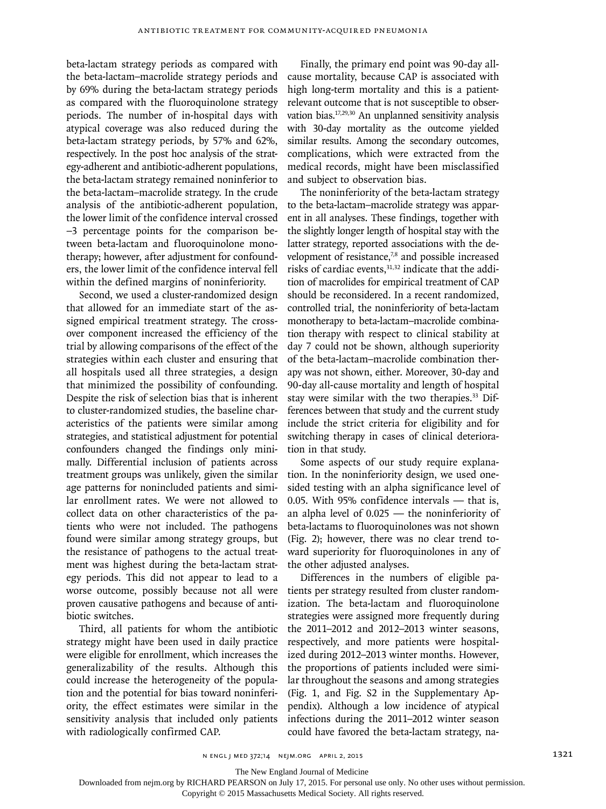beta-lactam strategy periods as compared with the beta-lactam–macrolide strategy periods and by 69% during the beta-lactam strategy periods as compared with the fluoroquinolone strategy periods. The number of in-hospital days with atypical coverage was also reduced during the beta-lactam strategy periods, by 57% and 62%, respectively. In the post hoc analysis of the strategy-adherent and antibiotic-adherent populations, the beta-lactam strategy remained noninferior to the beta-lactam–macrolide strategy. In the crude analysis of the antibiotic-adherent population, the lower limit of the confidence interval crossed −3 percentage points for the comparison between beta-lactam and fluoroquinolone monotherapy; however, after adjustment for confounders, the lower limit of the confidence interval fell within the defined margins of noninferiority.

Second, we used a cluster-randomized design that allowed for an immediate start of the assigned empirical treatment strategy. The crossover component increased the efficiency of the trial by allowing comparisons of the effect of the strategies within each cluster and ensuring that all hospitals used all three strategies, a design that minimized the possibility of confounding. Despite the risk of selection bias that is inherent to cluster-randomized studies, the baseline characteristics of the patients were similar among strategies, and statistical adjustment for potential confounders changed the findings only minimally. Differential inclusion of patients across treatment groups was unlikely, given the similar age patterns for nonincluded patients and similar enrollment rates. We were not allowed to collect data on other characteristics of the patients who were not included. The pathogens found were similar among strategy groups, but the resistance of pathogens to the actual treatment was highest during the beta-lactam strategy periods. This did not appear to lead to a worse outcome, possibly because not all were proven causative pathogens and because of antibiotic switches.

Third, all patients for whom the antibiotic strategy might have been used in daily practice were eligible for enrollment, which increases the generalizability of the results. Although this could increase the heterogeneity of the population and the potential for bias toward noninferiority, the effect estimates were similar in the sensitivity analysis that included only patients with radiologically confirmed CAP.

Finally, the primary end point was 90-day allcause mortality, because CAP is associated with high long-term mortality and this is a patientrelevant outcome that is not susceptible to observation bias.17,29,30 An unplanned sensitivity analysis with 30-day mortality as the outcome yielded similar results. Among the secondary outcomes, complications, which were extracted from the medical records, might have been misclassified and subject to observation bias.

The noninferiority of the beta-lactam strategy to the beta-lactam–macrolide strategy was apparent in all analyses. These findings, together with the slightly longer length of hospital stay with the latter strategy, reported associations with the development of resistance,<sup>7,8</sup> and possible increased risks of cardiac events,<sup>31,32</sup> indicate that the addition of macrolides for empirical treatment of CAP should be reconsidered. In a recent randomized, controlled trial, the noninferiority of beta-lactam monotherapy to beta-lactam–macrolide combination therapy with respect to clinical stability at day 7 could not be shown, although superiority of the beta-lactam–macrolide combination therapy was not shown, either. Moreover, 30-day and 90-day all-cause mortality and length of hospital stay were similar with the two therapies.<sup>33</sup> Differences between that study and the current study include the strict criteria for eligibility and for switching therapy in cases of clinical deterioration in that study.

Some aspects of our study require explanation. In the noninferiority design, we used onesided testing with an alpha significance level of 0.05. With 95% confidence intervals — that is, an alpha level of 0.025 — the noninferiority of beta-lactams to fluoroquinolones was not shown (Fig. 2); however, there was no clear trend toward superiority for fluoroquinolones in any of the other adjusted analyses.

Differences in the numbers of eligible patients per strategy resulted from cluster randomization. The beta-lactam and fluoroquinolone strategies were assigned more frequently during the 2011–2012 and 2012–2013 winter seasons, respectively, and more patients were hospitalized during 2012–2013 winter months. However, the proportions of patients included were similar throughout the seasons and among strategies (Fig. 1, and Fig. S2 in the Supplementary Appendix). Although a low incidence of atypical infections during the 2011–2012 winter season could have favored the beta-lactam strategy, na-

n engl j med 372;14 nejm.org April 2, 2015 1321

The New England Journal of Medicine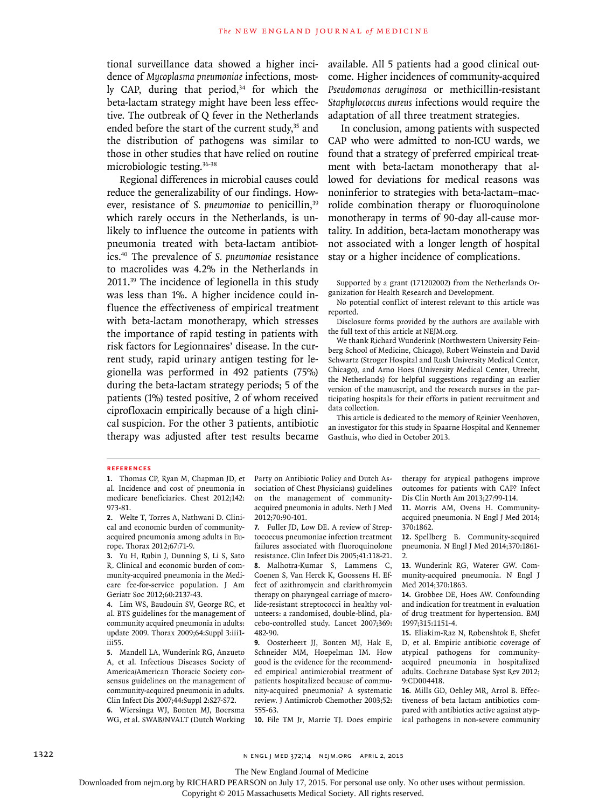tional surveillance data showed a higher incidence of *Mycoplasma pneumoniae* infections, mostly CAP, during that period,<sup>34</sup> for which the beta-lactam strategy might have been less effective. The outbreak of Q fever in the Netherlands ended before the start of the current study,<sup>35</sup> and the distribution of pathogens was similar to those in other studies that have relied on routine microbiologic testing.36-38

Regional differences in microbial causes could reduce the generalizability of our findings. However, resistance of *S. pneumoniae* to penicillin,<sup>39</sup> which rarely occurs in the Netherlands, is unlikely to influence the outcome in patients with pneumonia treated with beta-lactam antibiotics.40 The prevalence of *S. pneumoniae* resistance to macrolides was 4.2% in the Netherlands in 2011.39 The incidence of legionella in this study was less than 1%. A higher incidence could influence the effectiveness of empirical treatment with beta-lactam monotherapy, which stresses the importance of rapid testing in patients with risk factors for Legionnaires' disease. In the current study, rapid urinary antigen testing for legionella was performed in 492 patients (75%) during the beta-lactam strategy periods; 5 of the patients (1%) tested positive, 2 of whom received ciprofloxacin empirically because of a high clinical suspicion. For the other 3 patients, antibiotic therapy was adjusted after test results became

available. All 5 patients had a good clinical outcome. Higher incidences of community-acquired *Pseudomonas aeruginosa* or methicillin-resistant *Staphylococcus aureus* infections would require the adaptation of all three treatment strategies.

In conclusion, among patients with suspected CAP who were admitted to non-ICU wards, we found that a strategy of preferred empirical treatment with beta-lactam monotherapy that allowed for deviations for medical reasons was noninferior to strategies with beta-lactam–macrolide combination therapy or fluoroquinolone monotherapy in terms of 90-day all-cause mortality. In addition, beta-lactam monotherapy was not associated with a longer length of hospital stay or a higher incidence of complications.

Supported by a grant (171202002) from the Netherlands Organization for Health Research and Development.

No potential conflict of interest relevant to this article was reported.

Disclosure forms provided by the authors are available with the full text of this article at NEJM.org.

We thank Richard Wunderink (Northwestern University Feinberg School of Medicine, Chicago), Robert Weinstein and David Schwartz (Stroger Hospital and Rush University Medical Center, Chicago), and Arno Hoes (University Medical Center, Utrecht, the Netherlands) for helpful suggestions regarding an earlier version of the manuscript, and the research nurses in the participating hospitals for their efforts in patient recruitment and data collection.

This article is dedicated to the memory of Reinier Veenhoven, an investigator for this study in Spaarne Hospital and Kennemer Gasthuis, who died in October 2013.

#### **References**

**1.** Thomas CP, Ryan M, Chapman JD, et al. Incidence and cost of pneumonia in medicare beneficiaries. Chest 2012;142: 973-81.

**2.** Welte T, Torres A, Nathwani D. Clinical and economic burden of communityacquired pneumonia among adults in Europe. Thorax 2012;67:71-9.

**3.** Yu H, Rubin J, Dunning S, Li S, Sato R. Clinical and economic burden of community-acquired pneumonia in the Medicare fee-for-service population. J Am Geriatr Soc 2012;60:2137-43.

**4.** Lim WS, Baudouin SV, George RC, et al. BTS guidelines for the management of community acquired pneumonia in adults: update 2009. Thorax 2009;64:Suppl 3:iii1 iii55.

**5.** Mandell LA, Wunderink RG, Anzueto A, et al. Infectious Diseases Society of America/American Thoracic Society consensus guidelines on the management of community-acquired pneumonia in adults. Clin Infect Dis 2007;44:Suppl 2:S27-S72.

**6.** Wiersinga WJ, Bonten MJ, Boersma WG, et al. SWAB/NVALT (Dutch Working Party on Antibiotic Policy and Dutch Association of Chest Physicians) guidelines on the management of communityacquired pneumonia in adults. Neth J Med 2012;70:90-101.

**7.** Fuller JD, Low DE. A review of Streptococcus pneumoniae infection treatment failures associated with fluoroquinolone resistance. Clin Infect Dis 2005;41:118-21. **8.** Malhotra-Kumar S, Lammens C, Coenen S, Van Herck K, Goossens H. Effect of azithromycin and clarithromycin therapy on pharyngeal carriage of macrolide-resistant streptococci in healthy volunteers: a randomised, double-blind, placebo-controlled study. Lancet 2007;369: 482-90.

**9.** Oosterheert JJ, Bonten MJ, Hak E, Schneider MM, Hoepelman IM. How good is the evidence for the recommended empirical antimicrobial treatment of patients hospitalized because of community-acquired pneumonia? A systematic review. J Antimicrob Chemother 2003;52: 555-63.

**10.** File TM Jr, Marrie TJ. Does empiric

therapy for atypical pathogens improve outcomes for patients with CAP? Infect Dis Clin North Am 2013;27:99-114.

**11.** Morris AM, Ovens H. Communityacquired pneumonia. N Engl J Med 2014; 370:1862.

**12.** Spellberg B. Community-acquired pneumonia. N Engl J Med 2014;370:1861-  $2.5$ 

**13.** Wunderink RG, Waterer GW. Community-acquired pneumonia. N Engl J Med 2014;370:1863.

**14.** Grobbee DE, Hoes AW. Confounding and indication for treatment in evaluation of drug treatment for hypertension. BMJ 1997;315:1151-4.

**15.** Eliakim-Raz N, Robenshtok E, Shefet D, et al. Empiric antibiotic coverage of atypical pathogens for communityacquired pneumonia in hospitalized adults. Cochrane Database Syst Rev 2012; 9:CD004418.

**16.** Mills GD, Oehley MR, Arrol B. Effectiveness of beta lactam antibiotics compared with antibiotics active against atypical pathogens in non-severe community

1322 **n ENGL j MED 372;14** NEM.ORG APRIL 2, 2015

The New England Journal of Medicine

Downloaded from nejm.org by RICHARD PEARSON on July 17, 2015. For personal use only. No other uses without permission.